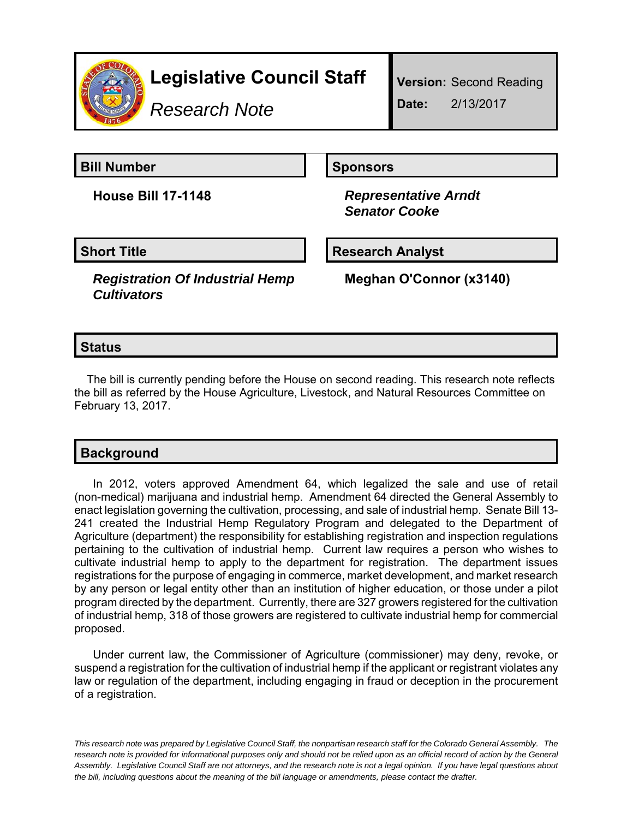

*Research Note*

**Version:** Second Reading **Date:** 2/13/2017

**Bill Number Sponsors** 

**House Bill 17-1148** *Representative Arndt Senator Cooke*

**Short Title Research Analyst** 

*Registration Of Industrial Hemp Cultivators*

**Meghan O'Connor (x3140)**

## **Status**

The bill is currently pending before the House on second reading. This research note reflects the bill as referred by the House Agriculture, Livestock, and Natural Resources Committee on February 13, 2017.

## **Background**

In 2012, voters approved Amendment 64, which legalized the sale and use of retail (non-medical) marijuana and industrial hemp. Amendment 64 directed the General Assembly to enact legislation governing the cultivation, processing, and sale of industrial hemp. Senate Bill 13- 241 created the Industrial Hemp Regulatory Program and delegated to the Department of Agriculture (department) the responsibility for establishing registration and inspection regulations pertaining to the cultivation of industrial hemp. Current law requires a person who wishes to cultivate industrial hemp to apply to the department for registration. The department issues registrations for the purpose of engaging in commerce, market development, and market research by any person or legal entity other than an institution of higher education, or those under a pilot program directed by the department. Currently, there are 327 growers registered for the cultivation of industrial hemp, 318 of those growers are registered to cultivate industrial hemp for commercial proposed.

Under current law, the Commissioner of Agriculture (commissioner) may deny, revoke, or suspend a registration for the cultivation of industrial hemp if the applicant or registrant violates any law or regulation of the department, including engaging in fraud or deception in the procurement of a registration.

*This research note was prepared by Legislative Council Staff, the nonpartisan research staff for the Colorado General Assembly. The research note is provided for informational purposes only and should not be relied upon as an official record of action by the General Assembly. Legislative Council Staff are not attorneys, and the research note is not a legal opinion. If you have legal questions about the bill, including questions about the meaning of the bill language or amendments, please contact the drafter.*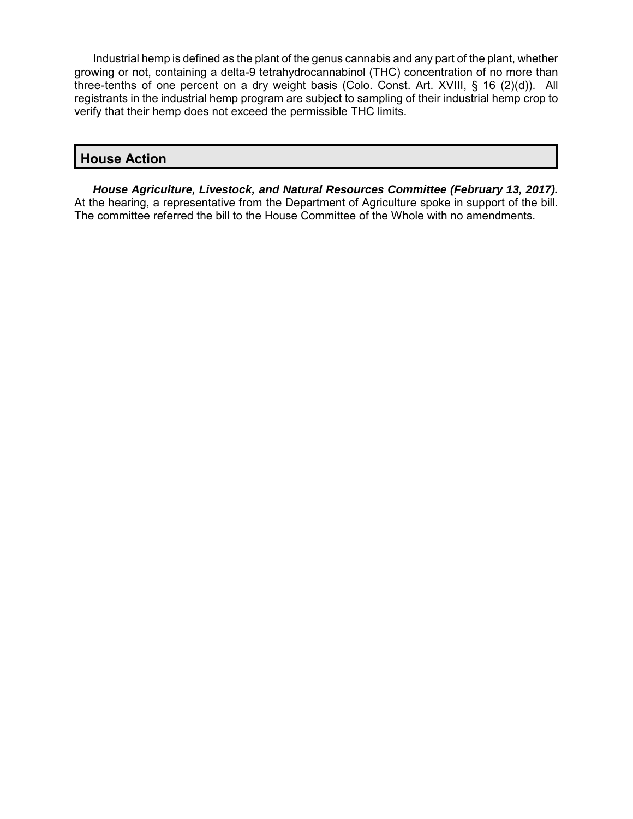Industrial hemp is defined as the plant of the genus cannabis and any part of the plant, whether growing or not, containing a delta-9 tetrahydrocannabinol (THC) concentration of no more than three-tenths of one percent on a dry weight basis (Colo. Const. Art. XVIII, § 16 (2)(d)). All registrants in the industrial hemp program are subject to sampling of their industrial hemp crop to verify that their hemp does not exceed the permissible THC limits.

## **House Action**

*House Agriculture, Livestock, and Natural Resources Committee (February 13, 2017).* At the hearing, a representative from the Department of Agriculture spoke in support of the bill. The committee referred the bill to the House Committee of the Whole with no amendments.